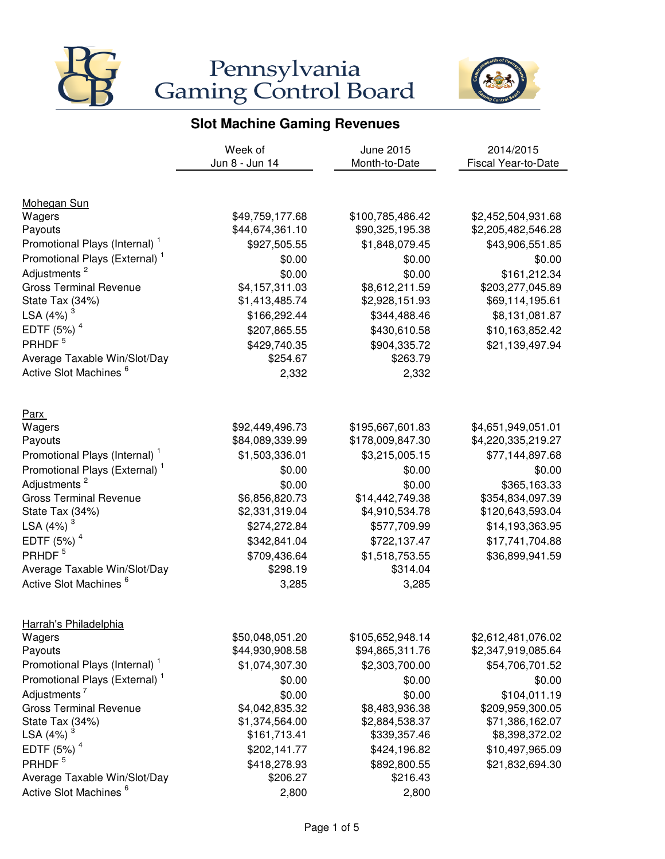



|                                           | Week of         | June 2015        | 2014/2015           |
|-------------------------------------------|-----------------|------------------|---------------------|
|                                           | Jun 8 - Jun 14  | Month-to-Date    | Fiscal Year-to-Date |
|                                           |                 |                  |                     |
| Mohegan Sun                               |                 |                  |                     |
| Wagers                                    | \$49,759,177.68 | \$100,785,486.42 | \$2,452,504,931.68  |
| Payouts                                   | \$44,674,361.10 | \$90,325,195.38  | \$2,205,482,546.28  |
| Promotional Plays (Internal) <sup>1</sup> | \$927,505.55    | \$1,848,079.45   | \$43,906,551.85     |
| Promotional Plays (External) <sup>1</sup> | \$0.00          | \$0.00           | \$0.00              |
| Adjustments <sup>2</sup>                  | \$0.00          | \$0.00           | \$161,212.34        |
| <b>Gross Terminal Revenue</b>             | \$4,157,311.03  | \$8,612,211.59   | \$203,277,045.89    |
| State Tax (34%)                           | \$1,413,485.74  | \$2,928,151.93   | \$69,114,195.61     |
| LSA $(4%)$ <sup>3</sup>                   | \$166,292.44    | \$344,488.46     | \$8,131,081.87      |
| EDTF $(5%)4$                              | \$207,865.55    | \$430,610.58     | \$10,163,852.42     |
| PRHDF <sup>5</sup>                        | \$429,740.35    | \$904,335.72     | \$21,139,497.94     |
| Average Taxable Win/Slot/Day              | \$254.67        | \$263.79         |                     |
| Active Slot Machines <sup>6</sup>         | 2,332           | 2,332            |                     |
| <b>Parx</b>                               |                 |                  |                     |
| Wagers                                    | \$92,449,496.73 | \$195,667,601.83 | \$4,651,949,051.01  |
| Payouts                                   | \$84,089,339.99 | \$178,009,847.30 | \$4,220,335,219.27  |
| Promotional Plays (Internal) <sup>1</sup> | \$1,503,336.01  | \$3,215,005.15   | \$77,144,897.68     |
| Promotional Plays (External) <sup>1</sup> | \$0.00          | \$0.00           | \$0.00              |
| Adjustments <sup>2</sup>                  | \$0.00          | \$0.00           | \$365,163.33        |
| <b>Gross Terminal Revenue</b>             | \$6,856,820.73  | \$14,442,749.38  | \$354,834,097.39    |
| State Tax (34%)                           | \$2,331,319.04  | \$4,910,534.78   | \$120,643,593.04    |
| LSA $(4%)$ <sup>3</sup>                   | \$274,272.84    | \$577,709.99     | \$14,193,363.95     |
| EDTF $(5%)4$                              | \$342,841.04    | \$722,137.47     | \$17,741,704.88     |
| PRHDF <sup>5</sup>                        | \$709,436.64    | \$1,518,753.55   | \$36,899,941.59     |
| Average Taxable Win/Slot/Day              | \$298.19        | \$314.04         |                     |
| Active Slot Machines <sup>6</sup>         | 3,285           | 3,285            |                     |
| Harrah's Philadelphia                     |                 |                  |                     |
| Wagers                                    | \$50,048,051.20 | \$105,652,948.14 | \$2,612,481,076.02  |
| Payouts                                   | \$44,930,908.58 | \$94,865,311.76  | \$2,347,919,085.64  |
| Promotional Plays (Internal) <sup>1</sup> | \$1,074,307.30  | \$2,303,700.00   | \$54,706,701.52     |
| Promotional Plays (External) <sup>1</sup> | \$0.00          | \$0.00           | \$0.00              |
| Adjustments <sup>7</sup>                  | \$0.00          | \$0.00           | \$104,011.19        |
| <b>Gross Terminal Revenue</b>             | \$4,042,835.32  | \$8,483,936.38   | \$209,959,300.05    |
| State Tax (34%)                           | \$1,374,564.00  | \$2,884,538.37   | \$71,386,162.07     |
| LSA $(4%)$ <sup>3</sup>                   | \$161,713.41    | \$339,357.46     | \$8,398,372.02      |
| EDTF $(5%)4$                              | \$202,141.77    | \$424,196.82     | \$10,497,965.09     |
| PRHDF <sup>5</sup>                        | \$418,278.93    | \$892,800.55     | \$21,832,694.30     |
| Average Taxable Win/Slot/Day              | \$206.27        | \$216.43         |                     |
| Active Slot Machines <sup>6</sup>         | 2,800           | 2,800            |                     |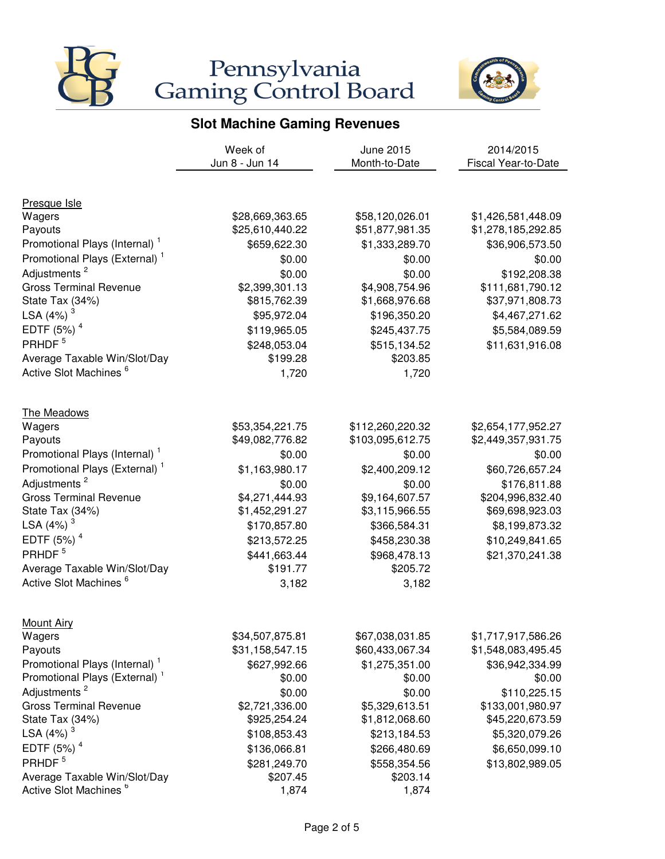



|                                           | Week of         | June 2015        | 2014/2015                  |
|-------------------------------------------|-----------------|------------------|----------------------------|
|                                           | Jun 8 - Jun 14  | Month-to-Date    | <b>Fiscal Year-to-Date</b> |
|                                           |                 |                  |                            |
| Presque Isle                              |                 |                  |                            |
| Wagers                                    | \$28,669,363.65 | \$58,120,026.01  | \$1,426,581,448.09         |
| Payouts                                   | \$25,610,440.22 | \$51,877,981.35  | \$1,278,185,292.85         |
| Promotional Plays (Internal) <sup>1</sup> | \$659,622.30    | \$1,333,289.70   | \$36,906,573.50            |
| Promotional Plays (External) <sup>1</sup> | \$0.00          | \$0.00           | \$0.00                     |
| Adjustments <sup>2</sup>                  | \$0.00          | \$0.00           | \$192,208.38               |
| <b>Gross Terminal Revenue</b>             | \$2,399,301.13  | \$4,908,754.96   | \$111,681,790.12           |
| State Tax (34%)                           | \$815,762.39    | \$1,668,976.68   | \$37,971,808.73            |
| LSA (4%) <sup>3</sup>                     | \$95,972.04     | \$196,350.20     | \$4,467,271.62             |
| EDTF $(5%)4$                              | \$119,965.05    | \$245,437.75     | \$5,584,089.59             |
| PRHDF <sup>5</sup>                        | \$248,053.04    | \$515,134.52     | \$11,631,916.08            |
| Average Taxable Win/Slot/Day              | \$199.28        | \$203.85         |                            |
| Active Slot Machines <sup>6</sup>         | 1,720           | 1,720            |                            |
| The Meadows                               |                 |                  |                            |
| Wagers                                    | \$53,354,221.75 | \$112,260,220.32 | \$2,654,177,952.27         |
| Payouts                                   | \$49,082,776.82 | \$103,095,612.75 | \$2,449,357,931.75         |
| Promotional Plays (Internal) <sup>1</sup> | \$0.00          | \$0.00           | \$0.00                     |
| Promotional Plays (External) <sup>1</sup> | \$1,163,980.17  | \$2,400,209.12   | \$60,726,657.24            |
| Adjustments <sup>2</sup>                  | \$0.00          | \$0.00           | \$176,811.88               |
| <b>Gross Terminal Revenue</b>             | \$4,271,444.93  | \$9,164,607.57   | \$204,996,832.40           |
| State Tax (34%)                           | \$1,452,291.27  | \$3,115,966.55   | \$69,698,923.03            |
| LSA (4%) $^3$                             | \$170,857.80    | \$366,584.31     | \$8,199,873.32             |
| EDTF $(5%)4$                              | \$213,572.25    | \$458,230.38     | \$10,249,841.65            |
| PRHDF <sup>5</sup>                        | \$441,663.44    | \$968,478.13     | \$21,370,241.38            |
| Average Taxable Win/Slot/Day              | \$191.77        | \$205.72         |                            |
| Active Slot Machines <sup>6</sup>         | 3,182           | 3,182            |                            |
| <b>Mount Airy</b>                         |                 |                  |                            |
| Wagers                                    | \$34,507,875.81 | \$67,038,031.85  | \$1,717,917,586.26         |
| Payouts                                   | \$31,158,547.15 | \$60,433,067.34  | \$1,548,083,495.45         |
| Promotional Plays (Internal) <sup>1</sup> | \$627,992.66    | \$1,275,351.00   | \$36,942,334.99            |
| Promotional Plays (External) <sup>1</sup> | \$0.00          | \$0.00           | \$0.00                     |
| Adjustments <sup>2</sup>                  | \$0.00          | \$0.00           | \$110,225.15               |
| <b>Gross Terminal Revenue</b>             | \$2,721,336.00  | \$5,329,613.51   | \$133,001,980.97           |
| State Tax (34%)                           | \$925,254.24    | \$1,812,068.60   | \$45,220,673.59            |
| LSA $(4%)$ <sup>3</sup>                   | \$108,853.43    | \$213,184.53     | \$5,320,079.26             |
| EDTF $(5%)4$                              | \$136,066.81    | \$266,480.69     | \$6,650,099.10             |
| PRHDF <sup>5</sup>                        | \$281,249.70    | \$558,354.56     | \$13,802,989.05            |
| Average Taxable Win/Slot/Day              | \$207.45        | \$203.14         |                            |
| Active Slot Machines <sup>6</sup>         | 1,874           | 1,874            |                            |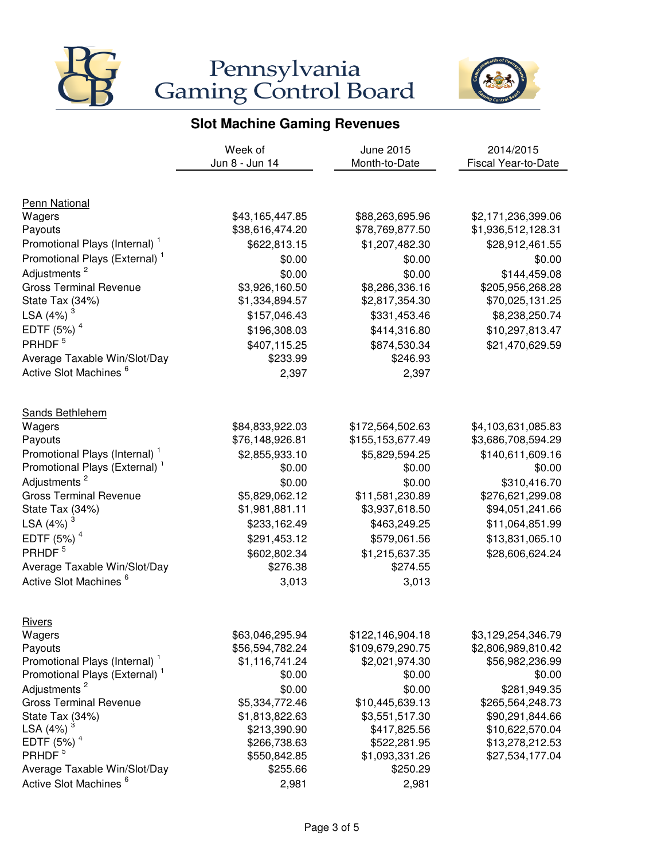



|                                                     | Week of                      | <b>June 2015</b>             | 2014/2015                          |
|-----------------------------------------------------|------------------------------|------------------------------|------------------------------------|
|                                                     | Jun 8 - Jun 14               | Month-to-Date                | Fiscal Year-to-Date                |
|                                                     |                              |                              |                                    |
| Penn National                                       |                              |                              |                                    |
| Wagers                                              | \$43,165,447.85              | \$88,263,695.96              | \$2,171,236,399.06                 |
| Payouts                                             | \$38,616,474.20              | \$78,769,877.50              | \$1,936,512,128.31                 |
| Promotional Plays (Internal)                        | \$622,813.15                 | \$1,207,482.30               | \$28,912,461.55                    |
| Promotional Plays (External) <sup>1</sup>           | \$0.00                       | \$0.00                       | \$0.00                             |
| Adjustments <sup>2</sup>                            | \$0.00                       | \$0.00                       | \$144,459.08                       |
| <b>Gross Terminal Revenue</b>                       | \$3,926,160.50               | \$8,286,336.16               | \$205,956,268.28                   |
| State Tax (34%)                                     | \$1,334,894.57               | \$2,817,354.30               | \$70,025,131.25                    |
| LSA $(4%)$ <sup>3</sup>                             | \$157,046.43                 | \$331,453.46                 | \$8,238,250.74                     |
| EDTF $(5%)4$                                        | \$196,308.03                 | \$414,316.80                 | \$10,297,813.47                    |
| PRHDF <sup>5</sup>                                  | \$407,115.25                 | \$874,530.34                 | \$21,470,629.59                    |
| Average Taxable Win/Slot/Day                        | \$233.99                     | \$246.93                     |                                    |
| Active Slot Machines <sup>6</sup>                   | 2,397                        | 2,397                        |                                    |
|                                                     |                              |                              |                                    |
| <b>Sands Bethlehem</b><br>Wagers                    | \$84,833,922.03              | \$172,564,502.63             | \$4,103,631,085.83                 |
| Payouts                                             | \$76,148,926.81              | \$155,153,677.49             | \$3,686,708,594.29                 |
| Promotional Plays (Internal) <sup>1</sup>           | \$2,855,933.10               | \$5,829,594.25               | \$140,611,609.16                   |
| Promotional Plays (External) <sup>1</sup>           | \$0.00                       | \$0.00                       | \$0.00                             |
| Adjustments <sup>2</sup>                            | \$0.00                       | \$0.00                       | \$310,416.70                       |
| <b>Gross Terminal Revenue</b>                       | \$5,829,062.12               | \$11,581,230.89              | \$276,621,299.08                   |
| State Tax (34%)                                     | \$1,981,881.11               | \$3,937,618.50               | \$94,051,241.66                    |
| LSA $(4%)$ <sup>3</sup>                             | \$233,162.49                 | \$463,249.25                 | \$11,064,851.99                    |
| EDTF $(5%)4$                                        | \$291,453.12                 | \$579,061.56                 | \$13,831,065.10                    |
| PRHDF <sup>5</sup>                                  | \$602,802.34                 | \$1,215,637.35               | \$28,606,624.24                    |
| Average Taxable Win/Slot/Day                        | \$276.38                     | \$274.55                     |                                    |
| Active Slot Machines <sup>6</sup>                   | 3,013                        | 3,013                        |                                    |
|                                                     |                              |                              |                                    |
| <b>Rivers</b>                                       |                              |                              |                                    |
| Wagers                                              | \$63,046,295.94              | \$122,146,904.18             | \$3,129,254,346.79                 |
| Payouts                                             | \$56,594,782.24              | \$109,679,290.75             | \$2,806,989,810.42                 |
| Promotional Plays (Internal) <sup>1</sup>           | \$1,116,741.24               | \$2,021,974.30               | \$56,982,236.99                    |
| Promotional Plays (External) <sup>1</sup>           | \$0.00                       | \$0.00                       | \$0.00                             |
| Adjustments <sup>2</sup>                            | \$0.00                       | \$0.00                       | \$281,949.35                       |
| <b>Gross Terminal Revenue</b>                       | \$5,334,772.46               | \$10,445,639.13              | \$265,564,248.73                   |
| State Tax (34%)                                     | \$1,813,822.63               | \$3,551,517.30               | \$90,291,844.66                    |
| LSA $(4%)$ <sup>3</sup><br>EDTF $(5%)$ <sup>4</sup> | \$213,390.90<br>\$266,738.63 | \$417,825.56<br>\$522,281.95 | \$10,622,570.04<br>\$13,278,212.53 |
| PRHDF <sup>5</sup>                                  | \$550,842.85                 | \$1,093,331.26               | \$27,534,177.04                    |
| Average Taxable Win/Slot/Day                        | \$255.66                     | \$250.29                     |                                    |
| Active Slot Machines <sup>6</sup>                   | 2,981                        | 2,981                        |                                    |
|                                                     |                              |                              |                                    |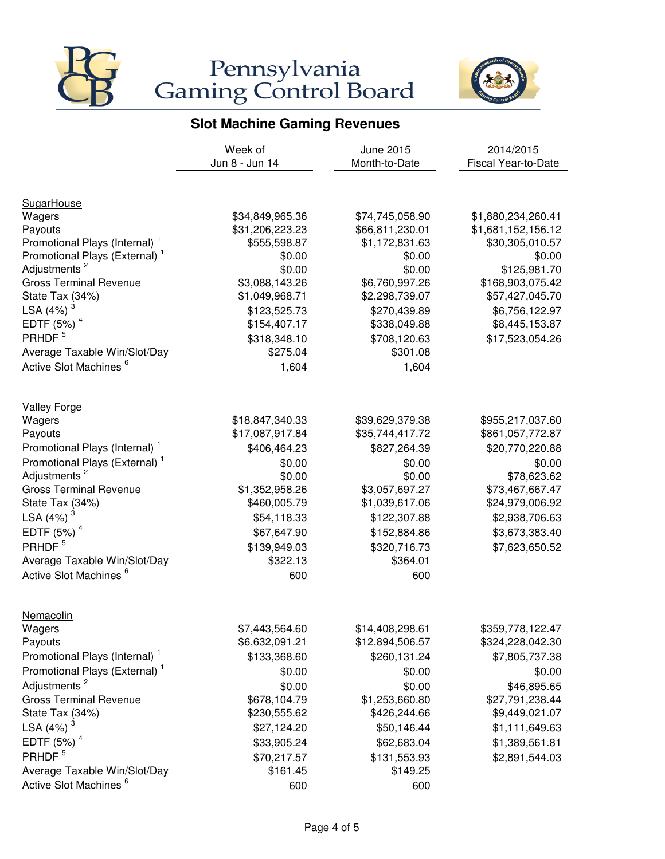



|                                                           | Week of                          | June 2015                        | 2014/2015                           |
|-----------------------------------------------------------|----------------------------------|----------------------------------|-------------------------------------|
|                                                           | Jun 8 - Jun 14                   | Month-to-Date                    | <b>Fiscal Year-to-Date</b>          |
|                                                           |                                  |                                  |                                     |
| <b>SugarHouse</b>                                         |                                  |                                  |                                     |
| Wagers                                                    | \$34,849,965.36                  | \$74,745,058.90                  | \$1,880,234,260.41                  |
| Payouts                                                   | \$31,206,223.23                  | \$66,811,230.01                  | \$1,681,152,156.12                  |
| Promotional Plays (Internal) <sup>1</sup>                 | \$555,598.87                     | \$1,172,831.63                   | \$30,305,010.57                     |
| Promotional Plays (External) <sup>1</sup>                 | \$0.00                           | \$0.00                           | \$0.00                              |
| Adjustments <sup>2</sup><br><b>Gross Terminal Revenue</b> | \$0.00                           | \$0.00                           | \$125,981.70                        |
| State Tax (34%)                                           | \$3,088,143.26<br>\$1,049,968.71 | \$6,760,997.26<br>\$2,298,739.07 | \$168,903,075.42<br>\$57,427,045.70 |
| LSA $(4%)$ <sup>3</sup>                                   |                                  |                                  | \$6,756,122.97                      |
| EDTF $(5%)$ <sup>4</sup>                                  | \$123,525.73                     | \$270,439.89                     |                                     |
| PRHDF <sup>5</sup>                                        | \$154,407.17                     | \$338,049.88                     | \$8,445,153.87                      |
|                                                           | \$318,348.10                     | \$708,120.63                     | \$17,523,054.26                     |
| Average Taxable Win/Slot/Day                              | \$275.04                         | \$301.08                         |                                     |
| Active Slot Machines <sup>6</sup>                         | 1,604                            | 1,604                            |                                     |
| <b>Valley Forge</b>                                       |                                  |                                  |                                     |
| Wagers                                                    | \$18,847,340.33                  | \$39,629,379.38                  | \$955,217,037.60                    |
| Payouts                                                   | \$17,087,917.84                  | \$35,744,417.72                  | \$861,057,772.87                    |
| Promotional Plays (Internal) <sup>1</sup>                 | \$406,464.23                     | \$827,264.39                     | \$20,770,220.88                     |
| Promotional Plays (External) <sup>1</sup>                 | \$0.00                           | \$0.00                           | \$0.00                              |
| Adjustments <sup>2</sup>                                  | \$0.00                           | \$0.00                           | \$78,623.62                         |
| <b>Gross Terminal Revenue</b>                             | \$1,352,958.26                   | \$3,057,697.27                   | \$73,467,667.47                     |
| State Tax (34%)                                           | \$460,005.79                     | \$1,039,617.06                   | \$24,979,006.92                     |
| LSA $(4%)$ <sup>3</sup>                                   | \$54,118.33                      | \$122,307.88                     | \$2,938,706.63                      |
| EDTF $(5%)4$                                              | \$67,647.90                      | \$152,884.86                     | \$3,673,383.40                      |
| PRHDF <sup>5</sup>                                        | \$139,949.03                     | \$320,716.73                     | \$7,623,650.52                      |
| Average Taxable Win/Slot/Day                              | \$322.13                         | \$364.01                         |                                     |
| Active Slot Machines <sup>6</sup>                         | 600                              | 600                              |                                     |
|                                                           |                                  |                                  |                                     |
| Nemacolin                                                 |                                  |                                  |                                     |
| Wagers                                                    | \$7,443,564.60                   | \$14,408,298.61                  | \$359,778,122.47                    |
| Payouts                                                   | \$6,632,091.21                   | \$12,894,506.57                  | \$324,228,042.30                    |
| Promotional Plays (Internal) <sup>1</sup>                 | \$133,368.60                     | \$260,131.24                     | \$7,805,737.38                      |
| Promotional Plays (External) <sup>1</sup>                 | \$0.00                           | \$0.00                           | \$0.00                              |
| Adjustments <sup>2</sup>                                  | \$0.00                           | \$0.00                           | \$46,895.65                         |
| <b>Gross Terminal Revenue</b>                             | \$678,104.79                     | \$1,253,660.80                   | \$27,791,238.44                     |
| State Tax (34%)                                           | \$230,555.62                     | \$426,244.66                     | \$9,449,021.07                      |
| LSA $(4%)$ <sup>3</sup>                                   | \$27,124.20                      | \$50,146.44                      | \$1,111,649.63                      |
| EDTF $(5%)$ <sup>4</sup>                                  | \$33,905.24                      | \$62,683.04                      | \$1,389,561.81                      |
| PRHDF <sup>5</sup>                                        | \$70,217.57                      | \$131,553.93                     | \$2,891,544.03                      |
| Average Taxable Win/Slot/Day                              | \$161.45                         | \$149.25                         |                                     |
| Active Slot Machines <sup>6</sup>                         | 600                              | 600                              |                                     |